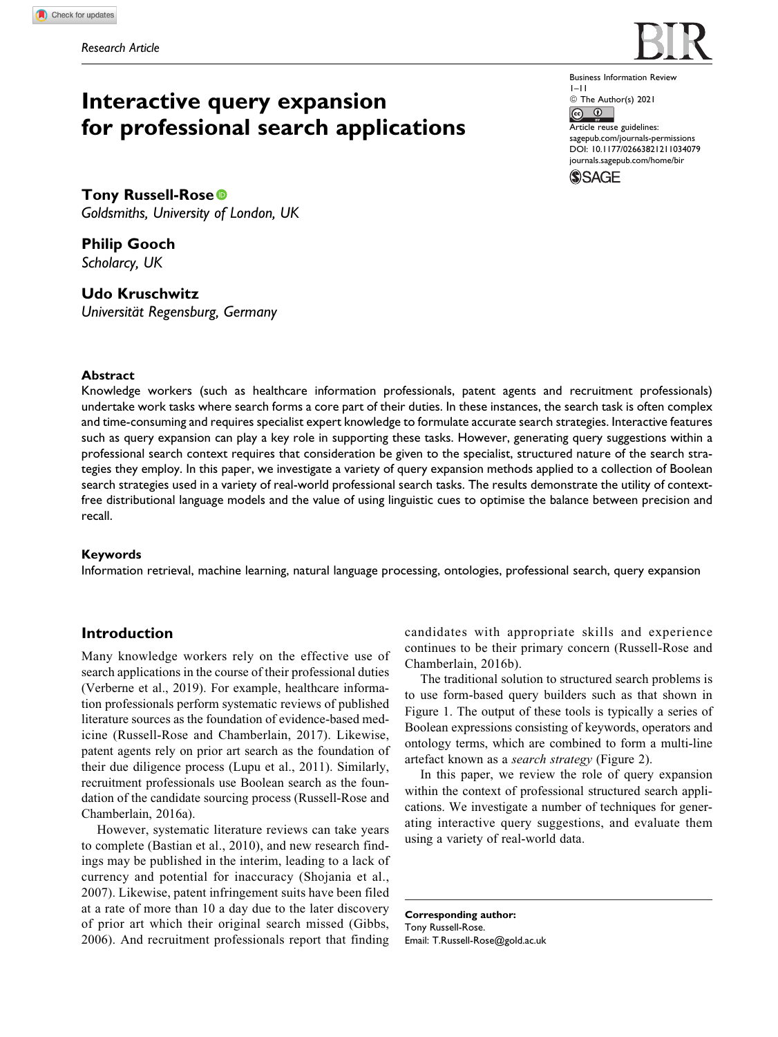# **Interactive query expansion for professional search applications**

Business Information Review 1–11 © The Author(s) 2021  $\boxed{6}$   $\boxed{0}$ Article reuse guidelines: [sagepub.com/journals-permissions](https://sagepub.com/journals-permissions) [DOI: 10.1177/02663821211034079](https://doi.org/10.1177/02663821211034079) [journals.sagepub.com/home/bir](http://journals.sagepub.com/home/bir)**SSAGE** 

**Tony Russell-Rose** *Goldsmiths, University of London, UK*

**Philip Gooch** *Scholarcy, UK*

**Udo Kruschwitz** *Universita¨t Regensburg, Germany*

# **Abstract**

Knowledge workers (such as healthcare information professionals, patent agents and recruitment professionals) undertake work tasks where search forms a core part of their duties. In these instances, the search task is often complex and time-consuming and requires specialist expert knowledge to formulate accurate search strategies. Interactive features such as query expansion can play a key role in supporting these tasks. However, generating query suggestions within a professional search context requires that consideration be given to the specialist, structured nature of the search strategies they employ. In this paper, we investigate a variety of query expansion methods applied to a collection of Boolean search strategies used in a variety of real-world professional search tasks. The results demonstrate the utility of contextfree distributional language models and the value of using linguistic cues to optimise the balance between precision and recall.

# **Keywords**

Information retrieval, machine learning, natural language processing, ontologies, professional search, query expansion

# **Introduction**

Many knowledge workers rely on the effective use of search applications in the course of their professional duties (Verberne et al., 2019). For example, healthcare information professionals perform systematic reviews of published literature sources as the foundation of evidence-based medicine (Russell-Rose and Chamberlain, 2017). Likewise, patent agents rely on prior art search as the foundation of their due diligence process (Lupu et al., 2011). Similarly, recruitment professionals use Boolean search as the foundation of the candidate sourcing process (Russell-Rose and Chamberlain, 2016a).

However, systematic literature reviews can take years to complete (Bastian et al., 2010), and new research findings may be published in the interim, leading to a lack of currency and potential for inaccuracy (Shojania et al., 2007). Likewise, patent infringement suits have been filed at a rate of more than 10 a day due to the later discovery of prior art which their original search missed (Gibbs, 2006). And recruitment professionals report that finding

candidates with appropriate skills and experience continues to be their primary concern (Russell-Rose and Chamberlain, 2016b).

The traditional solution to structured search problems is to use form-based query builders such as that shown in Figure 1. The output of these tools is typically a series of Boolean expressions consisting of keywords, operators and ontology terms, which are combined to form a multi-line artefact known as a search strategy (Figure 2).

In this paper, we review the role of query expansion within the context of professional structured search applications. We investigate a number of techniques for generating interactive query suggestions, and evaluate them using a variety of real-world data.

**Corresponding author:** Tony Russell-Rose. Email: [T.Russell-Rose@gold.ac.uk](mailto:T.Russell-Rose@gold.ac.uk)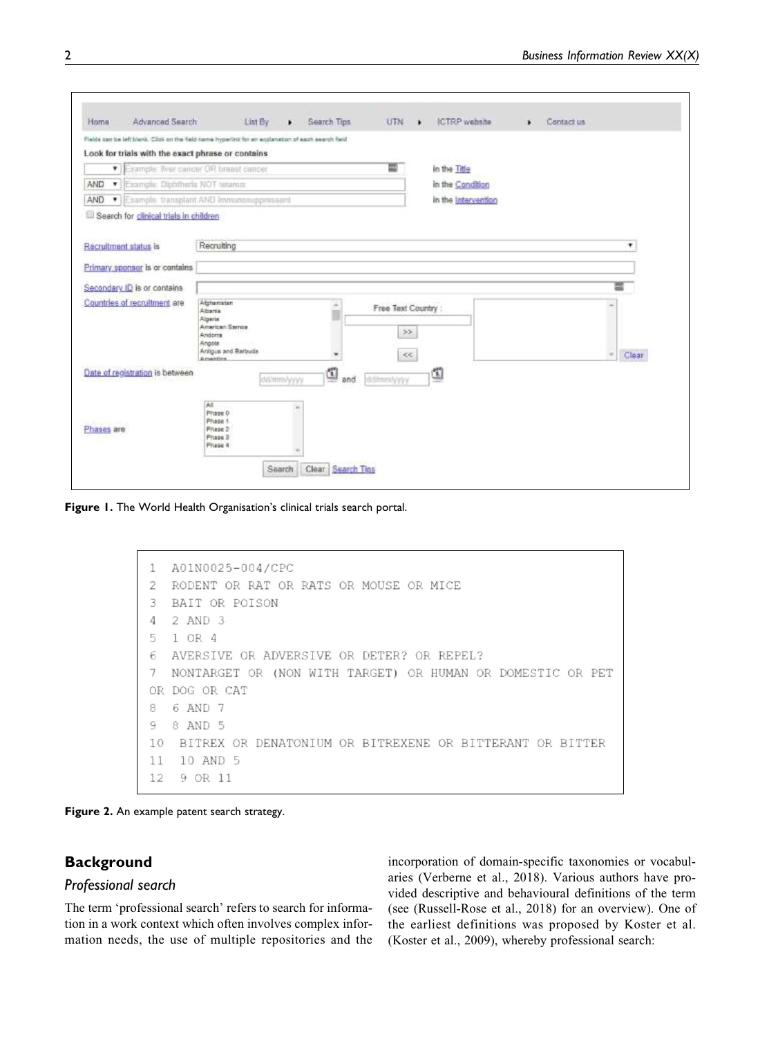|            |                                       | Flebte carr be left blank. Click on the field-name hypertink for an explanation of each search field.      |             |                                    |                     |  |                        |  |  |  |
|------------|---------------------------------------|------------------------------------------------------------------------------------------------------------|-------------|------------------------------------|---------------------|--|------------------------|--|--|--|
|            |                                       | Look for trials with the exact phrase or contains                                                          |             |                                    |                     |  |                        |  |  |  |
| ۰          |                                       | Example: Ilver concer OR turest cancer                                                                     |             | ш                                  | in the Title        |  |                        |  |  |  |
| AND        | · [Example: Diphthoria NOT tetanus    |                                                                                                            |             |                                    | in the Condition    |  |                        |  |  |  |
| AND<br>۰   |                                       | Esample: transplant AND immunosuppressant                                                                  |             |                                    | in the Intervention |  |                        |  |  |  |
|            | Search for canical trials in children |                                                                                                            |             |                                    |                     |  |                        |  |  |  |
|            |                                       |                                                                                                            |             |                                    |                     |  |                        |  |  |  |
|            | Recruitment status is                 | Recruiting                                                                                                 |             |                                    |                     |  | ٠                      |  |  |  |
|            | Primary sponsor is or contains        |                                                                                                            |             |                                    |                     |  |                        |  |  |  |
|            |                                       |                                                                                                            |             |                                    |                     |  |                        |  |  |  |
|            | Secondary ID is or contains           |                                                                                                            |             |                                    |                     |  | 圜                      |  |  |  |
|            | Countries of recruitment are          | Althenisten<br>Albaria<br>Algerte<br>American Samoa<br>Andorra<br>Angola<br>Antiqua and Barbuda<br>America | ×<br>U<br>٠ | Free Text Country :<br>22<br>$\ll$ |                     |  | <b>Clear</b><br>$\sim$ |  |  |  |
|            | Date of registration is between       | del/mm/yyyy<br>Až                                                                                          | ₫<br>and    | ddinmlyyyy                         | ₫                   |  |                        |  |  |  |
| Phases are |                                       | Phase D<br>Phase 1<br>Phase 2<br>Phase 3<br>Phase 4                                                        |             |                                    |                     |  |                        |  |  |  |

**Figure 1.** The World Health Organisation's clinical trials search portal.

```
1
  A01N0025-004/CPC
  RODENT OR RAT OR RATS OR MOUSE OR MICE
\overline{2}3
  BAIT OR POISON
\overline{4}2 AND 3
5
  1 OR 4
   AVERSIVE OR ADVERSIVE OR DETER? OR REPEL?
\epsilonNONTARGET OR (NON WITH TARGET) OR HUMAN OR DOMESTIC OR PET
\overline{7}OR DOG OR CAT
   6 AND 7
8
9
   8 AND 5
10 BITREX OR DENATONIUM OR BITREXENE OR BITTERANT OR BITTER
11
   10 AND 5
12
    9 OR 11
```
**Figure 2.** An example patent search strategy.

# **Background**

# *Professional search*

The term 'professional search' refers to search for information in a work context which often involves complex information needs, the use of multiple repositories and the

incorporation of domain-specific taxonomies or vocabularies (Verberne et al., 2018). Various authors have provided descriptive and behavioural definitions of the term (see (Russell-Rose et al., 2018) for an overview). One of the earliest definitions was proposed by Koster et al. (Koster et al., 2009), whereby professional search: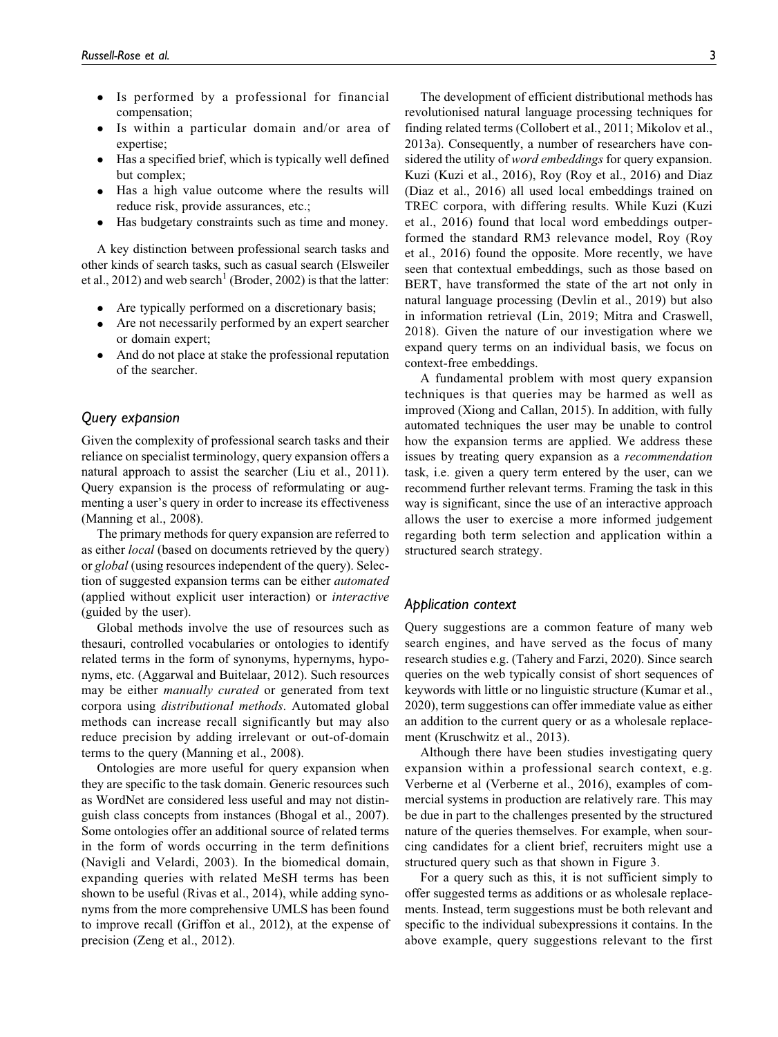- - Is performed by a professional for financial compensation;
- $\bullet$  Is within a particular domain and/or area of expertise;
- Has a specified brief, which is typically well defined but complex;
- $\bullet$  Has a high value outcome where the results will reduce risk, provide assurances, etc.;
- $\bullet$ Has budgetary constraints such as time and money.

A key distinction between professional search tasks and other kinds of search tasks, such as casual search (Elsweiler et al., 2012) and web search<sup>1</sup> (Broder, 2002) is that the latter:

- $\bullet$ Are typically performed on a discretionary basis;
- $\bullet$  Are not necessarily performed by an expert searcher or domain expert;
- $\bullet$  And do not place at stake the professional reputation of the searcher.

# *Query expansion*

Given the complexity of professional search tasks and their reliance on specialist terminology, query expansion offers a natural approach to assist the searcher (Liu et al., 2011). Query expansion is the process of reformulating or augmenting a user's query in order to increase its effectiveness (Manning et al., 2008).

The primary methods for query expansion are referred to as either local (based on documents retrieved by the query) or global (using resources independent of the query). Selection of suggested expansion terms can be either automated (applied without explicit user interaction) or interactive (guided by the user).

Global methods involve the use of resources such as thesauri, controlled vocabularies or ontologies to identify related terms in the form of synonyms, hypernyms, hyponyms, etc. (Aggarwal and Buitelaar, 2012). Such resources may be either manually curated or generated from text corpora using distributional methods. Automated global methods can increase recall significantly but may also reduce precision by adding irrelevant or out-of-domain terms to the query (Manning et al., 2008).

Ontologies are more useful for query expansion when they are specific to the task domain. Generic resources such as WordNet are considered less useful and may not distinguish class concepts from instances (Bhogal et al., 2007). Some ontologies offer an additional source of related terms in the form of words occurring in the term definitions (Navigli and Velardi, 2003). In the biomedical domain, expanding queries with related MeSH terms has been shown to be useful (Rivas et al., 2014), while adding synonyms from the more comprehensive UMLS has been found to improve recall (Griffon et al., 2012), at the expense of precision (Zeng et al., 2012).

The development of efficient distributional methods has revolutionised natural language processing techniques for finding related terms (Collobert et al., 2011; Mikolov et al., 2013a). Consequently, a number of researchers have considered the utility of word embeddings for query expansion. Kuzi (Kuzi et al., 2016), Roy (Roy et al., 2016) and Diaz (Diaz et al., 2016) all used local embeddings trained on TREC corpora, with differing results. While Kuzi (Kuzi et al., 2016) found that local word embeddings outperformed the standard RM3 relevance model, Roy (Roy et al., 2016) found the opposite. More recently, we have seen that contextual embeddings, such as those based on BERT, have transformed the state of the art not only in natural language processing (Devlin et al., 2019) but also in information retrieval (Lin, 2019; Mitra and Craswell, 2018). Given the nature of our investigation where we expand query terms on an individual basis, we focus on context-free embeddings.

A fundamental problem with most query expansion techniques is that queries may be harmed as well as improved (Xiong and Callan, 2015). In addition, with fully automated techniques the user may be unable to control how the expansion terms are applied. We address these issues by treating query expansion as a recommendation task, i.e. given a query term entered by the user, can we recommend further relevant terms. Framing the task in this way is significant, since the use of an interactive approach allows the user to exercise a more informed judgement regarding both term selection and application within a structured search strategy.

# *Application context*

Query suggestions are a common feature of many web search engines, and have served as the focus of many research studies e.g. (Tahery and Farzi, 2020). Since search queries on the web typically consist of short sequences of keywords with little or no linguistic structure (Kumar et al., 2020), term suggestions can offer immediate value as either an addition to the current query or as a wholesale replacement (Kruschwitz et al., 2013).

Although there have been studies investigating query expansion within a professional search context, e.g. Verberne et al (Verberne et al., 2016), examples of commercial systems in production are relatively rare. This may be due in part to the challenges presented by the structured nature of the queries themselves. For example, when sourcing candidates for a client brief, recruiters might use a structured query such as that shown in Figure 3.

For a query such as this, it is not sufficient simply to offer suggested terms as additions or as wholesale replacements. Instead, term suggestions must be both relevant and specific to the individual subexpressions it contains. In the above example, query suggestions relevant to the first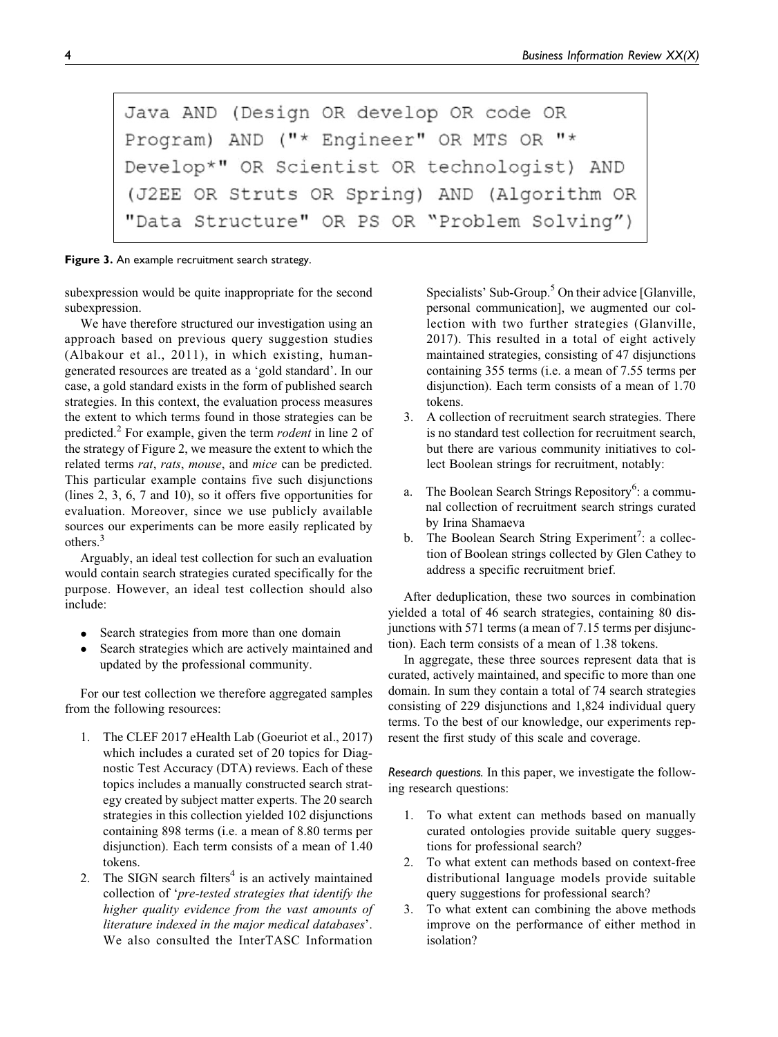```
Java AND (Design OR develop OR code OR
Program) AND ("* Engineer" OR MTS OR "*
Develop*" OR Scientist OR technologist) AND
(J2EE OR Struts OR Spring) AND (Algorithm OR
"Data Structure" OR PS OR "Problem Solving")
```
**Figure 3.** An example recruitment search strategy.

subexpression would be quite inappropriate for the second subexpression.

We have therefore structured our investigation using an approach based on previous query suggestion studies (Albakour et al., 2011), in which existing, humangenerated resources are treated as a 'gold standard'. In our case, a gold standard exists in the form of published search strategies. In this context, the evaluation process measures the extent to which terms found in those strategies can be predicted.<sup>2</sup> For example, given the term *rodent* in line 2 of the strategy of Figure 2, we measure the extent to which the related terms rat, rats, mouse, and mice can be predicted. This particular example contains five such disjunctions (lines 2, 3, 6, 7 and 10), so it offers five opportunities for evaluation. Moreover, since we use publicly available sources our experiments can be more easily replicated by others.<sup>3</sup>

Arguably, an ideal test collection for such an evaluation would contain search strategies curated specifically for the purpose. However, an ideal test collection should also include:

- $\bullet$ Search strategies from more than one domain
- $\bullet$  Search strategies which are actively maintained and updated by the professional community.

For our test collection we therefore aggregated samples from the following resources:

- 1. The CLEF 2017 eHealth Lab (Goeuriot et al., 2017) which includes a curated set of 20 topics for Diagnostic Test Accuracy (DTA) reviews. Each of these topics includes a manually constructed search strategy created by subject matter experts. The 20 search strategies in this collection yielded 102 disjunctions containing 898 terms (i.e. a mean of 8.80 terms per disjunction). Each term consists of a mean of 1.40 tokens.
- 2. The SIGN search filters $4$  is an actively maintained collection of 'pre-tested strategies that identify the higher quality evidence from the vast amounts of literature indexed in the major medical databases'. We also consulted the InterTASC Information

Specialists' Sub-Group.<sup>5</sup> On their advice [Glanville, personal communication], we augmented our collection with two further strategies (Glanville, 2017). This resulted in a total of eight actively maintained strategies, consisting of 47 disjunctions containing 355 terms (i.e. a mean of 7.55 terms per disjunction). Each term consists of a mean of 1.70 tokens.

- 3. A collection of recruitment search strategies. There is no standard test collection for recruitment search, but there are various community initiatives to collect Boolean strings for recruitment, notably:
- a. The Boolean Search Strings Repository<sup>6</sup>: a communal collection of recruitment search strings curated by Irina Shamaeva
- b. The Boolean Search String Experiment<sup>7</sup>: a collection of Boolean strings collected by Glen Cathey to address a specific recruitment brief.

After deduplication, these two sources in combination yielded a total of 46 search strategies, containing 80 disjunctions with 571 terms (a mean of 7.15 terms per disjunction). Each term consists of a mean of 1.38 tokens.

In aggregate, these three sources represent data that is curated, actively maintained, and specific to more than one domain. In sum they contain a total of 74 search strategies consisting of 229 disjunctions and 1,824 individual query terms. To the best of our knowledge, our experiments represent the first study of this scale and coverage.

*Research questions.* In this paper, we investigate the following research questions:

- 1. To what extent can methods based on manually curated ontologies provide suitable query suggestions for professional search?
- 2. To what extent can methods based on context-free distributional language models provide suitable query suggestions for professional search?
- 3. To what extent can combining the above methods improve on the performance of either method in isolation?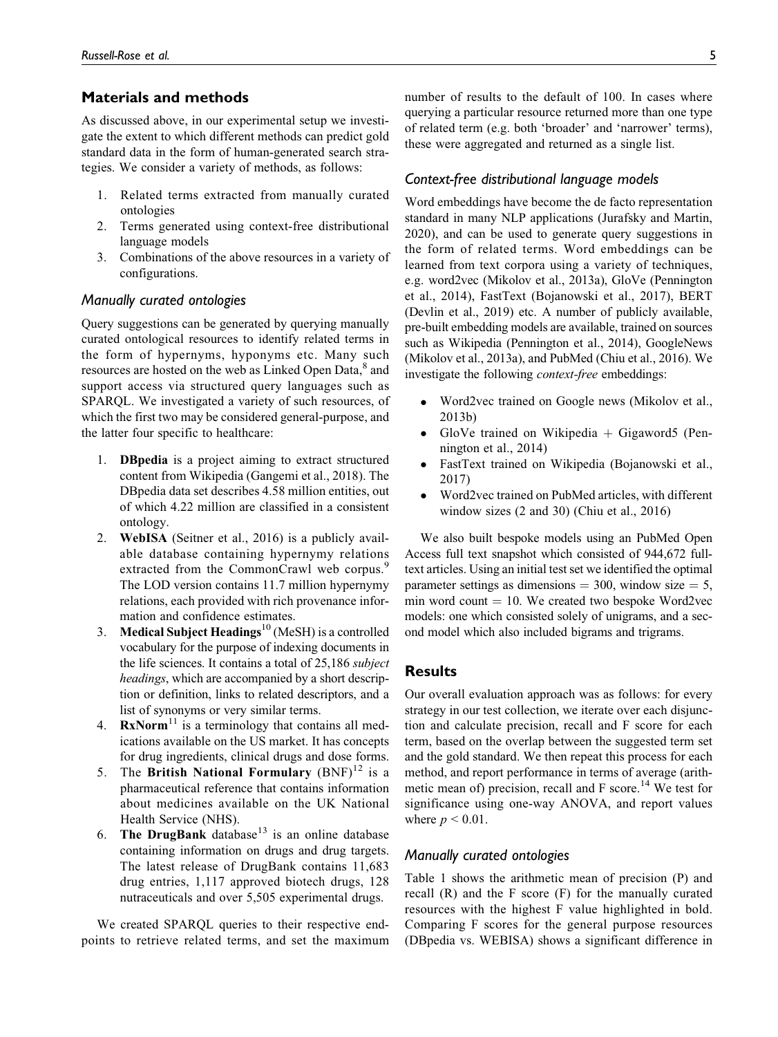# **Materials and methods**

As discussed above, in our experimental setup we investigate the extent to which different methods can predict gold standard data in the form of human-generated search strategies. We consider a variety of methods, as follows:

- 1. Related terms extracted from manually curated ontologies
- 2. Terms generated using context-free distributional language models
- 3. Combinations of the above resources in a variety of configurations.

# *Manually curated ontologies*

Query suggestions can be generated by querying manually curated ontological resources to identify related terms in the form of hypernyms, hyponyms etc. Many such resources are hosted on the web as Linked Open Data,<sup>8</sup> and support access via structured query languages such as SPARQL. We investigated a variety of such resources, of which the first two may be considered general-purpose, and the latter four specific to healthcare:

- 1. DBpedia is a project aiming to extract structured content from Wikipedia (Gangemi et al., 2018). The DBpedia data set describes 4.58 million entities, out of which 4.22 million are classified in a consistent ontology.
- 2. WebISA (Seitner et al., 2016) is a publicly available database containing hypernymy relations extracted from the CommonCrawl web corpus.<sup>9</sup> The LOD version contains 11.7 million hypernymy relations, each provided with rich provenance information and confidence estimates.
- 3. Medical Subject Headings<sup>10</sup> (MeSH) is a controlled vocabulary for the purpose of indexing documents in the life sciences. It contains a total of 25,186 subject headings, which are accompanied by a short description or definition, links to related descriptors, and a list of synonyms or very similar terms.
- 4.  $\text{RxNorm}^{11}$  is a terminology that contains all medications available on the US market. It has concepts for drug ingredients, clinical drugs and dose forms.
- 5. The British National Formulary  $(BNF)^{12}$  is a pharmaceutical reference that contains information about medicines available on the UK National Health Service (NHS).
- 6. The DrugBank database<sup>13</sup> is an online database containing information on drugs and drug targets. The latest release of DrugBank contains 11,683 drug entries, 1,117 approved biotech drugs, 128 nutraceuticals and over 5,505 experimental drugs.

We created SPARQL queries to their respective endpoints to retrieve related terms, and set the maximum number of results to the default of 100. In cases where querying a particular resource returned more than one type of related term (e.g. both 'broader' and 'narrower' terms), these were aggregated and returned as a single list.

#### *Context-free distributional language models*

Word embeddings have become the de facto representation standard in many NLP applications (Jurafsky and Martin, 2020), and can be used to generate query suggestions in the form of related terms. Word embeddings can be learned from text corpora using a variety of techniques, e.g. word2vec (Mikolov et al., 2013a), GloVe (Pennington et al., 2014), FastText (Bojanowski et al., 2017), BERT (Devlin et al., 2019) etc. A number of publicly available, pre-built embedding models are available, trained on sources such as Wikipedia (Pennington et al., 2014), GoogleNews (Mikolov et al., 2013a), and PubMed (Chiu et al., 2016). We investigate the following context-free embeddings:

- $\bullet$  Word2vec trained on Google news (Mikolov et al., 2013b)
- $\bullet$ GloVe trained on Wikipedia  $+$  Gigaword5 (Pennington et al., 2014)
- $\bullet$  FastText trained on Wikipedia (Bojanowski et al., 2017)
- $\bullet$  Word2vec trained on PubMed articles, with different window sizes (2 and 30) (Chiu et al., 2016)

We also built bespoke models using an PubMed Open Access full text snapshot which consisted of 944,672 fulltext articles. Using an initial test set we identified the optimal parameter settings as dimensions  $=$  300, window size  $=$  5, min word count  $= 10$ . We created two bespoke Word2vec models: one which consisted solely of unigrams, and a second model which also included bigrams and trigrams.

# **Results**

Our overall evaluation approach was as follows: for every strategy in our test collection, we iterate over each disjunction and calculate precision, recall and F score for each term, based on the overlap between the suggested term set and the gold standard. We then repeat this process for each method, and report performance in terms of average (arithmetic mean of) precision, recall and  $F$  score.<sup>14</sup> We test for significance using one-way ANOVA, and report values where  $p \leq 0.01$ .

# *Manually curated ontologies*

Table 1 shows the arithmetic mean of precision (P) and recall (R) and the F score (F) for the manually curated resources with the highest F value highlighted in bold. Comparing F scores for the general purpose resources (DBpedia vs. WEBISA) shows a significant difference in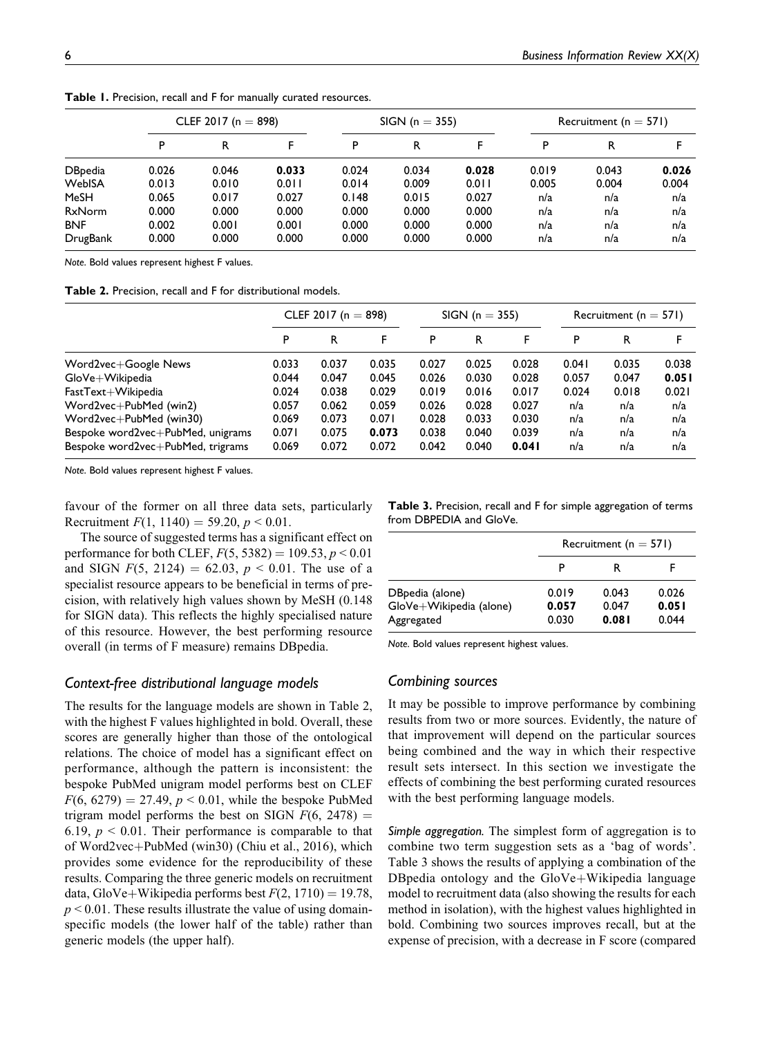|                | CLEF 2017 ( $n = 898$ ) |       |       |       | $SIGN (n = 355)$ |       |       | Recruitment ( $n = 571$ ) |       |  |
|----------------|-------------------------|-------|-------|-------|------------------|-------|-------|---------------------------|-------|--|
|                | P                       | R     | F     | P     | R                | F     | P     | R                         |       |  |
| <b>DBpedia</b> | 0.026                   | 0.046 | 0.033 | 0.024 | 0.034            | 0.028 | 0.019 | 0.043                     | 0.026 |  |
| WebISA         | 0.013                   | 0.010 | 0.011 | 0.014 | 0.009            | 0.011 | 0.005 | 0.004                     | 0.004 |  |
| MeSH           | 0.065                   | 0.017 | 0.027 | 0.148 | 0.015            | 0.027 | n/a   | n/a                       | n/a   |  |
| <b>RxNorm</b>  | 0.000                   | 0.000 | 0.000 | 0.000 | 0.000            | 0.000 | n/a   | n/a                       | n/a   |  |
| <b>BNF</b>     | 0.002                   | 0.001 | 0.001 | 0.000 | 0.000            | 0.000 | n/a   | n/a                       | n/a   |  |
| DrugBank       | 0.000                   | 0.000 | 0.000 | 0.000 | 0.000            | 0.000 | n/a   | n/a                       | n/a   |  |

**Table 1.** Precision, recall and F for manually curated resources.

*Note*. Bold values represent highest F values.

**Table 2.** Precision, recall and F for distributional models.

|                                   | CLEF 2017 ( $n = 898$ ) |       |       |       | $SIGN (n = 355)$ |       |       | Recruitment ( $n = 571$ ) |       |  |
|-----------------------------------|-------------------------|-------|-------|-------|------------------|-------|-------|---------------------------|-------|--|
|                                   | P                       | R     | F     | P     | R                | F     | P     | R                         |       |  |
| Word2vec+Google News              | 0.033                   | 0.037 | 0.035 | 0.027 | 0.025            | 0.028 | 0.041 | 0.035                     | 0.038 |  |
| GloVe+Wikipedia                   | 0.044                   | 0.047 | 0.045 | 0.026 | 0.030            | 0.028 | 0.057 | 0.047                     | 0.051 |  |
| FastText+Wikipedia                | 0.024                   | 0.038 | 0.029 | 0.019 | 0.016            | 0.017 | 0.024 | 0.018                     | 0.021 |  |
| Word2vec+PubMed (win2)            | 0.057                   | 0.062 | 0.059 | 0.026 | 0.028            | 0.027 | n/a   | n/a                       | n/a   |  |
| Word2vec+PubMed (win30)           | 0.069                   | 0.073 | 0.071 | 0.028 | 0.033            | 0.030 | n/a   | n/a                       | n/a   |  |
| Bespoke word2vec+PubMed, unigrams | 0.071                   | 0.075 | 0.073 | 0.038 | 0.040            | 0.039 | n/a   | n/a                       | n/a   |  |
| Bespoke word2vec+PubMed, trigrams | 0.069                   | 0.072 | 0.072 | 0.042 | 0.040            | 0.041 | n/a   | n/a                       | n/a   |  |

*Note*. Bold values represent highest F values.

favour of the former on all three data sets, particularly Recruitment  $F(1, 1140) = 59.20, p \le 0.01$ .

The source of suggested terms has a significant effect on performance for both CLEF,  $F(5, 5382) = 109.53, p < 0.01$ and SIGN  $F(5, 2124) = 62.03$ ,  $p < 0.01$ . The use of a specialist resource appears to be beneficial in terms of precision, with relatively high values shown by MeSH (0.148 for SIGN data). This reflects the highly specialised nature of this resource. However, the best performing resource overall (in terms of F measure) remains DBpedia.

## *Context-free distributional language models*

The results for the language models are shown in Table 2, with the highest F values highlighted in bold. Overall, these scores are generally higher than those of the ontological relations. The choice of model has a significant effect on performance, although the pattern is inconsistent: the bespoke PubMed unigram model performs best on CLEF  $F(6, 6279) = 27.49, p < 0.01$ , while the bespoke PubMed trigram model performs the best on SIGN  $F(6, 2478) =$ 6.19,  $p < 0.01$ . Their performance is comparable to that of Word2vec+PubMed (win30) (Chiu et al., 2016), which provides some evidence for the reproducibility of these results. Comparing the three generic models on recruitment data, GloVe+Wikipedia performs best  $F(2, 1710) = 19.78$ ,  $p < 0.01$ . These results illustrate the value of using domainspecific models (the lower half of the table) rather than generic models (the upper half).

**Table 3.** Precision, recall and F for simple aggregation of terms from DBPEDIA and GloVe.

|                         |       | Recruitment ( $n = 571$ ) |       |  |  |  |  |  |
|-------------------------|-------|---------------------------|-------|--|--|--|--|--|
|                         | P     | R                         |       |  |  |  |  |  |
| DBpedia (alone)         | 0.019 | 0.043                     | 0.026 |  |  |  |  |  |
| GloVe+Wikipedia (alone) | 0.057 | 0.047                     | 0.051 |  |  |  |  |  |
| Aggregated              | 0.030 | 0.081                     | 0.044 |  |  |  |  |  |

*Note*. Bold values represent highest values.

# *Combining sources*

It may be possible to improve performance by combining results from two or more sources. Evidently, the nature of that improvement will depend on the particular sources being combined and the way in which their respective result sets intersect. In this section we investigate the effects of combining the best performing curated resources with the best performing language models.

*Simple aggregation.* The simplest form of aggregation is to combine two term suggestion sets as a 'bag of words'. Table 3 shows the results of applying a combination of the DB pedia ontology and the  $G$ loVe $+$ Wikipedia language model to recruitment data (also showing the results for each method in isolation), with the highest values highlighted in bold. Combining two sources improves recall, but at the expense of precision, with a decrease in F score (compared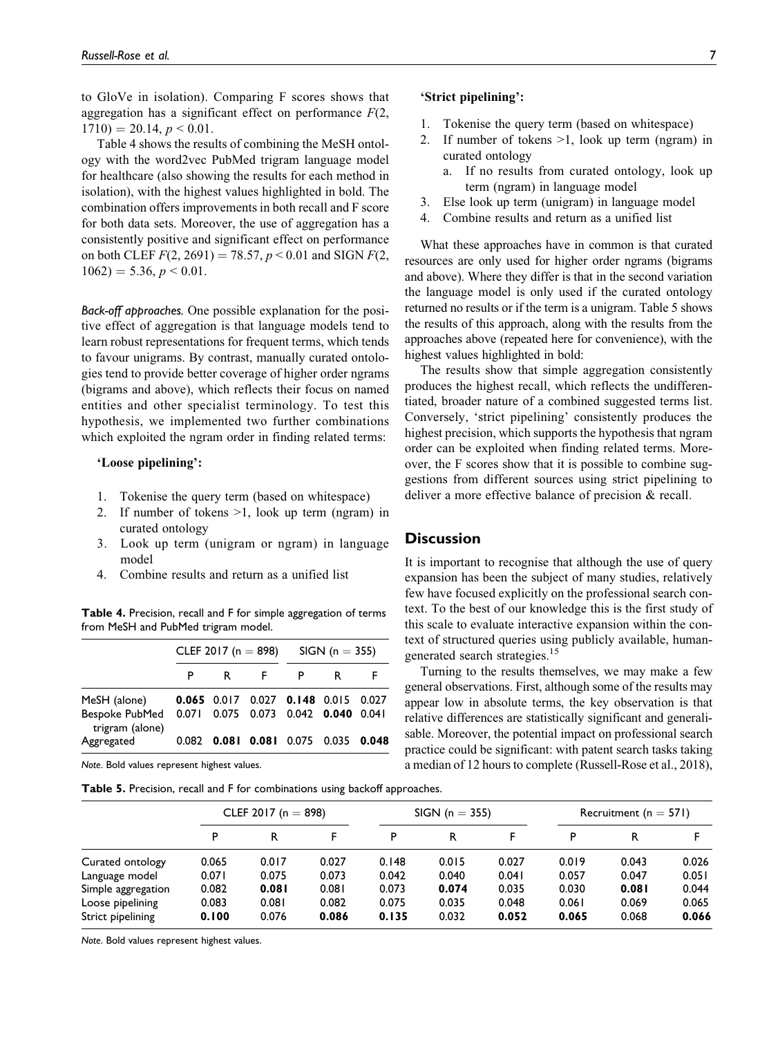to GloVe in isolation). Comparing F scores shows that aggregation has a significant effect on performance  $F(2)$ ,  $1710$ ) = 20.14,  $p < 0.01$ .

Table 4 shows the results of combining the MeSH ontology with the word2vec PubMed trigram language model for healthcare (also showing the results for each method in isolation), with the highest values highlighted in bold. The combination offers improvements in both recall and F score for both data sets. Moreover, the use of aggregation has a consistently positive and significant effect on performance on both CLEF  $F(2, 2691) = 78.57$ ,  $p < 0.01$  and SIGN  $F(2, 1691)$  $1062$ ) = 5.36, p < 0.01.

*Back-off approaches.* One possible explanation for the positive effect of aggregation is that language models tend to learn robust representations for frequent terms, which tends to favour unigrams. By contrast, manually curated ontologies tend to provide better coverage of higher order ngrams (bigrams and above), which reflects their focus on named entities and other specialist terminology. To test this hypothesis, we implemented two further combinations which exploited the ngram order in finding related terms:

#### 'Loose pipelining':

- 1. Tokenise the query term (based on whitespace)
- 2. If number of tokens >1, look up term (ngram) in curated ontology
- 3. Look up term (unigram or ngram) in language model
- 4. Combine results and return as a unified list

**Table 4.** Precision, recall and F for simple aggregation of terms from MeSH and PubMed trigram model.

|                                                                                                                                 |    | CLEF 2017 (n = 898) SIGN (n = 355)  |   |  |
|---------------------------------------------------------------------------------------------------------------------------------|----|-------------------------------------|---|--|
|                                                                                                                                 | P. | R F                                 | R |  |
| MeSH (alone) 0.065 0.017 0.027 0.148 0.015 0.027<br>Bespoke PubMed  0.071  0.075  0.073  0.042  0.040  0.041<br>trigram (alone) |    |                                     |   |  |
| Aggregated                                                                                                                      |    | 0.082 0.081 0.081 0.075 0.035 0.048 |   |  |

*Note*. Bold values represent highest values.

**Table 5.** Precision, recall and F for combinations using backoff approaches.

# 'Strict pipelining':

- 1. Tokenise the query term (based on whitespace)
- 2. If number of tokens >1, look up term (ngram) in curated ontology
	- a. If no results from curated ontology, look up term (ngram) in language model
- 3. Else look up term (unigram) in language model
- 4. Combine results and return as a unified list

What these approaches have in common is that curated resources are only used for higher order ngrams (bigrams and above). Where they differ is that in the second variation the language model is only used if the curated ontology returned no results or if the term is a unigram. Table 5 shows the results of this approach, along with the results from the approaches above (repeated here for convenience), with the highest values highlighted in bold:

The results show that simple aggregation consistently produces the highest recall, which reflects the undifferentiated, broader nature of a combined suggested terms list. Conversely, 'strict pipelining' consistently produces the highest precision, which supports the hypothesis that ngram order can be exploited when finding related terms. Moreover, the F scores show that it is possible to combine suggestions from different sources using strict pipelining to deliver a more effective balance of precision & recall.

#### **Discussion**

It is important to recognise that although the use of query expansion has been the subject of many studies, relatively few have focused explicitly on the professional search context. To the best of our knowledge this is the first study of this scale to evaluate interactive expansion within the context of structured queries using publicly available, humangenerated search strategies.<sup>15</sup>

Turning to the results themselves, we may make a few general observations. First, although some of the results may appear low in absolute terms, the key observation is that relative differences are statistically significant and generalisable. Moreover, the potential impact on professional search practice could be significant: with patent search tasks taking a median of 12 hours to complete (Russell-Rose et al., 2018),

|                    |       | CLEF 2017 (n = 898) |       |       | $SIGN (n = 355)$ |       |       | Recruitment ( $n = 571$ ) |       |  |
|--------------------|-------|---------------------|-------|-------|------------------|-------|-------|---------------------------|-------|--|
|                    | P     | R                   |       | P     | R                |       | P     | R                         |       |  |
| Curated ontology   | 0.065 | 0.017               | 0.027 | 0.148 | 0.015            | 0.027 | 0.019 | 0.043                     | 0.026 |  |
| Language model     | 0.071 | 0.075               | 0.073 | 0.042 | 0.040            | 0.041 | 0.057 | 0.047                     | 0.051 |  |
| Simple aggregation | 0.082 | 0.081               | 0.081 | 0.073 | 0.074            | 0.035 | 0.030 | 0.081                     | 0.044 |  |
| Loose pipelining   | 0.083 | 0.081               | 0.082 | 0.075 | 0.035            | 0.048 | 0.061 | 0.069                     | 0.065 |  |
| Strict pipelining  | 0.100 | 0.076               | 0.086 | 0.135 | 0.032            | 0.052 | 0.065 | 0.068                     | 0.066 |  |

*Note*. Bold values represent highest values.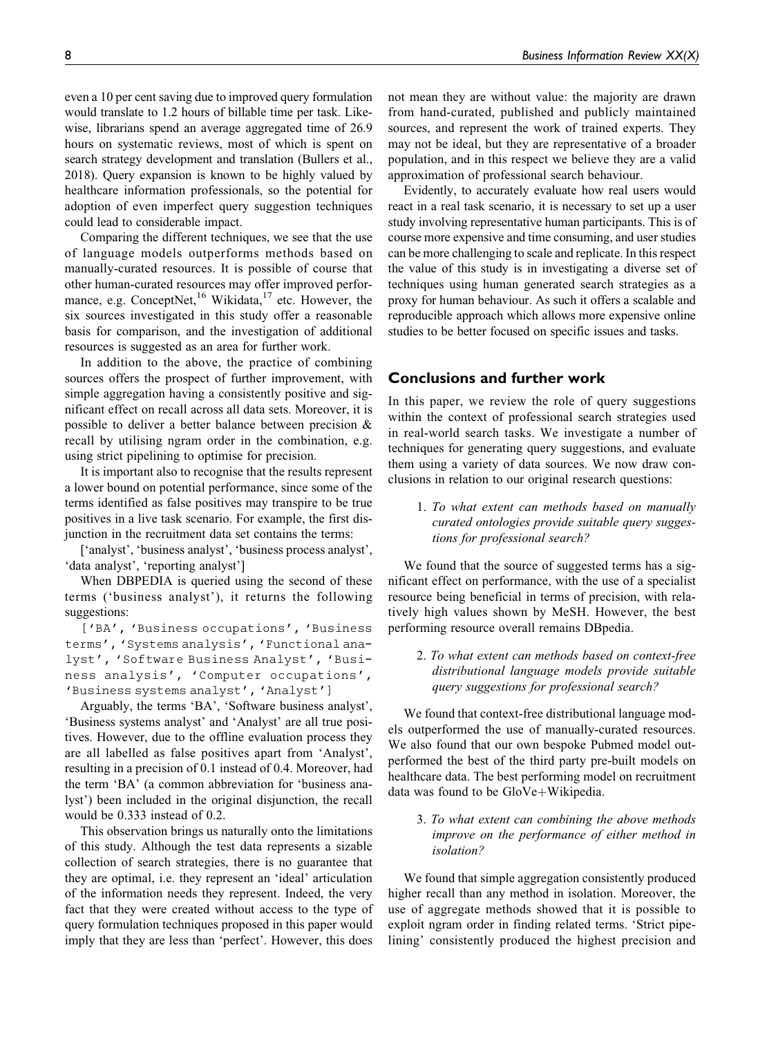even a 10 per cent saving due to improved query formulation would translate to 1.2 hours of billable time per task. Likewise, librarians spend an average aggregated time of 26.9 hours on systematic reviews, most of which is spent on search strategy development and translation (Bullers et al., 2018). Query expansion is known to be highly valued by healthcare information professionals, so the potential for adoption of even imperfect query suggestion techniques could lead to considerable impact.

Comparing the different techniques, we see that the use of language models outperforms methods based on manually-curated resources. It is possible of course that other human-curated resources may offer improved performance, e.g. ConceptNet,<sup>16</sup> Wikidata,<sup>17</sup> etc. However, the six sources investigated in this study offer a reasonable basis for comparison, and the investigation of additional resources is suggested as an area for further work.

In addition to the above, the practice of combining sources offers the prospect of further improvement, with simple aggregation having a consistently positive and significant effect on recall across all data sets. Moreover, it is possible to deliver a better balance between precision & recall by utilising ngram order in the combination, e.g. using strict pipelining to optimise for precision.

It is important also to recognise that the results represent a lower bound on potential performance, since some of the terms identified as false positives may transpire to be true positives in a live task scenario. For example, the first disjunction in the recruitment data set contains the terms:

['analyst', 'business analyst', 'business process analyst', 'data analyst', 'reporting analyst']

When DBPEDIA is queried using the second of these terms ('business analyst'), it returns the following suggestions:

['BA', 'Business occupations', 'Business terms', 'Systems analysis', 'Functional analyst', 'Software Business Analyst', 'Business analysis', 'Computer occupations', 'Business systems analyst', 'Analyst']

Arguably, the terms 'BA', 'Software business analyst', 'Business systems analyst' and 'Analyst' are all true positives. However, due to the offline evaluation process they are all labelled as false positives apart from 'Analyst', resulting in a precision of 0.1 instead of 0.4. Moreover, had the term 'BA' (a common abbreviation for 'business analyst') been included in the original disjunction, the recall would be 0.333 instead of 0.2.

This observation brings us naturally onto the limitations of this study. Although the test data represents a sizable collection of search strategies, there is no guarantee that they are optimal, i.e. they represent an 'ideal' articulation of the information needs they represent. Indeed, the very fact that they were created without access to the type of query formulation techniques proposed in this paper would imply that they are less than 'perfect'. However, this does

not mean they are without value: the majority are drawn from hand-curated, published and publicly maintained sources, and represent the work of trained experts. They may not be ideal, but they are representative of a broader population, and in this respect we believe they are a valid approximation of professional search behaviour.

Evidently, to accurately evaluate how real users would react in a real task scenario, it is necessary to set up a user study involving representative human participants. This is of course more expensive and time consuming, and user studies can be more challenging to scale and replicate. In this respect the value of this study is in investigating a diverse set of techniques using human generated search strategies as a proxy for human behaviour. As such it offers a scalable and reproducible approach which allows more expensive online studies to be better focused on specific issues and tasks.

# **Conclusions and further work**

In this paper, we review the role of query suggestions within the context of professional search strategies used in real-world search tasks. We investigate a number of techniques for generating query suggestions, and evaluate them using a variety of data sources. We now draw conclusions in relation to our original research questions:

1. To what extent can methods based on manually curated ontologies provide suitable query suggestions for professional search?

We found that the source of suggested terms has a significant effect on performance, with the use of a specialist resource being beneficial in terms of precision, with relatively high values shown by MeSH. However, the best performing resource overall remains DBpedia.

2. To what extent can methods based on context-free distributional language models provide suitable query suggestions for professional search?

We found that context-free distributional language models outperformed the use of manually-curated resources. We also found that our own bespoke Pubmed model outperformed the best of the third party pre-built models on healthcare data. The best performing model on recruitment data was found to be  $GloVe+Wikipedia$ .

3. To what extent can combining the above methods improve on the performance of either method in isolation?

We found that simple aggregation consistently produced higher recall than any method in isolation. Moreover, the use of aggregate methods showed that it is possible to exploit ngram order in finding related terms. 'Strict pipelining' consistently produced the highest precision and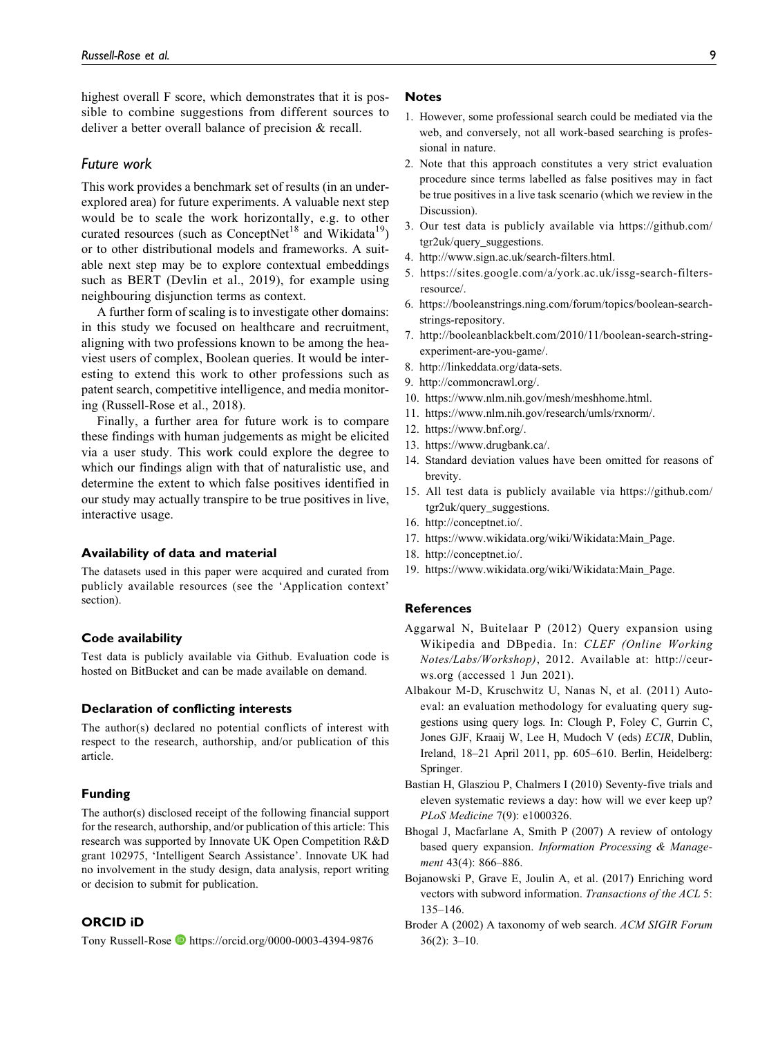highest overall F score, which demonstrates that it is possible to combine suggestions from different sources to deliver a better overall balance of precision & recall.

## *Future work*

This work provides a benchmark set of results (in an underexplored area) for future experiments. A valuable next step would be to scale the work horizontally, e.g. to other curated resources (such as ConceptNet<sup>18</sup> and Wikidata<sup>19</sup>) or to other distributional models and frameworks. A suitable next step may be to explore contextual embeddings such as BERT (Devlin et al., 2019), for example using neighbouring disjunction terms as context.

A further form of scaling is to investigate other domains: in this study we focused on healthcare and recruitment, aligning with two professions known to be among the heaviest users of complex, Boolean queries. It would be interesting to extend this work to other professions such as patent search, competitive intelligence, and media monitoring (Russell-Rose et al., 2018).

Finally, a further area for future work is to compare these findings with human judgements as might be elicited via a user study. This work could explore the degree to which our findings align with that of naturalistic use, and determine the extent to which false positives identified in our study may actually transpire to be true positives in live, interactive usage.

#### **Availability of data and material**

The datasets used in this paper were acquired and curated from publicly available resources (see the 'Application context' section).

#### **Code availability**

Test data is publicly available via Github. Evaluation code is hosted on BitBucket and can be made available on demand.

# **Declaration of conflicting interests**

The author(s) declared no potential conflicts of interest with respect to the research, authorship, and/or publication of this article.

#### **Funding**

The author(s) disclosed receipt of the following financial support for the research, authorship, and/or publication of this article: This research was supported by Innovate UK Open Competition R&D grant 102975, 'Intelligent Search Assistance'. Innovate UK had no involvement in the study design, data analysis, report writing or decision to submit for publication.

# **ORCID iD**

Tony Russell-Rose D <https://orcid.org/0000-0003-4394-9876>

# **Notes**

- 1. However, some professional search could be mediated via the web, and conversely, not all work-based searching is professional in nature.
- 2. Note that this approach constitutes a very strict evaluation procedure since terms labelled as false positives may in fact be true positives in a live task scenario (which we review in the Discussion).
- 3. Our test data is publicly available via [https://github.com/](https://github.com/tgr2uk/query_suggestions) [tgr2uk/query\\_suggestions](https://github.com/tgr2uk/query_suggestions).
- 4. [http://www.sign.ac.uk/search-filters.html.](http://www.sign.ac.uk/search-filters.html)
- 5. [https://sites.google.com/a/york.ac.uk/issg-search-filters](https://sites.google.com/a/york.ac.uk/issg-search-filters-resource/)[resource/.](https://sites.google.com/a/york.ac.uk/issg-search-filters-resource/)
- 6. [https://booleanstrings.ning.com/forum/topics/boolean-search](https://booleanstrings.ning.com/forum/topics/boolean-search-strings-repository)[strings-repository.](https://booleanstrings.ning.com/forum/topics/boolean-search-strings-repository)
- 7. [http://booleanblackbelt.com/2010/11/boolean-search-string](http://booleanblackbelt.com/2010/11/boolean-search-string-experiment-are-you-game/)[experiment-are-you-game/](http://booleanblackbelt.com/2010/11/boolean-search-string-experiment-are-you-game/).
- 8. [http://linkeddata.org/data-sets.](http://linkeddata.org/data-sets)
- 9. [http://commoncrawl.org/.](http://commoncrawl.org/)
- 10.<https://www.nlm.nih.gov/mesh/meshhome.html>.
- 11. [https://www.nlm.nih.gov/research/umls/rxnorm/.](https://www.nlm.nih.gov/research/umls/rxnorm/)
- 12. [https://www.bnf.org/.](https://www.bnf.org/)
- 13. [https://www.drugbank.ca/.](https://www.drugbank.ca/)
- 14. Standard deviation values have been omitted for reasons of brevity.
- 15. All test data is publicly available via [https://github.com/](https://github.com/tgr2uk/query_suggestions) [tgr2uk/query\\_suggestions.](https://github.com/tgr2uk/query_suggestions)
- 16.<http://conceptnet.io/>.
- 17. [https://www.wikidata.org/wiki/Wikidata:Main\\_Page.](https://www.wikidata.org/wiki/Wikidata:Main_Page)
- 18.<http://conceptnet.io/>.
- 19. [https://www.wikidata.org/wiki/Wikidata:Main\\_Page.](https://www.wikidata.org/wiki/Wikidata:Main_Page)

#### **References**

- Aggarwal N, Buitelaar P (2012) Query expansion using Wikipedia and DBpedia. In: CLEF (Online Working Notes/Labs/Workshop), 2012. Available at: [http://ceur](http://ceur-ws.org)[ws.org](http://ceur-ws.org) (accessed 1 Jun 2021).
- Albakour M-D, Kruschwitz U, Nanas N, et al. (2011) Autoeval: an evaluation methodology for evaluating query suggestions using query logs. In: Clough P, Foley C, Gurrin C, Jones GJF, Kraaij W, Lee H, Mudoch V (eds) ECIR, Dublin, Ireland, 18–21 April 2011, pp. 605–610. Berlin, Heidelberg: Springer.
- Bastian H, Glasziou P, Chalmers I (2010) Seventy-five trials and eleven systematic reviews a day: how will we ever keep up? PLoS Medicine 7(9): e1000326.
- Bhogal J, Macfarlane A, Smith P (2007) A review of ontology based query expansion. Information Processing & Management 43(4): 866-886.
- Bojanowski P, Grave E, Joulin A, et al. (2017) Enriching word vectors with subword information. Transactions of the ACL 5: 135–146.
- Broder A (2002) A taxonomy of web search. ACM SIGIR Forum 36(2): 3–10.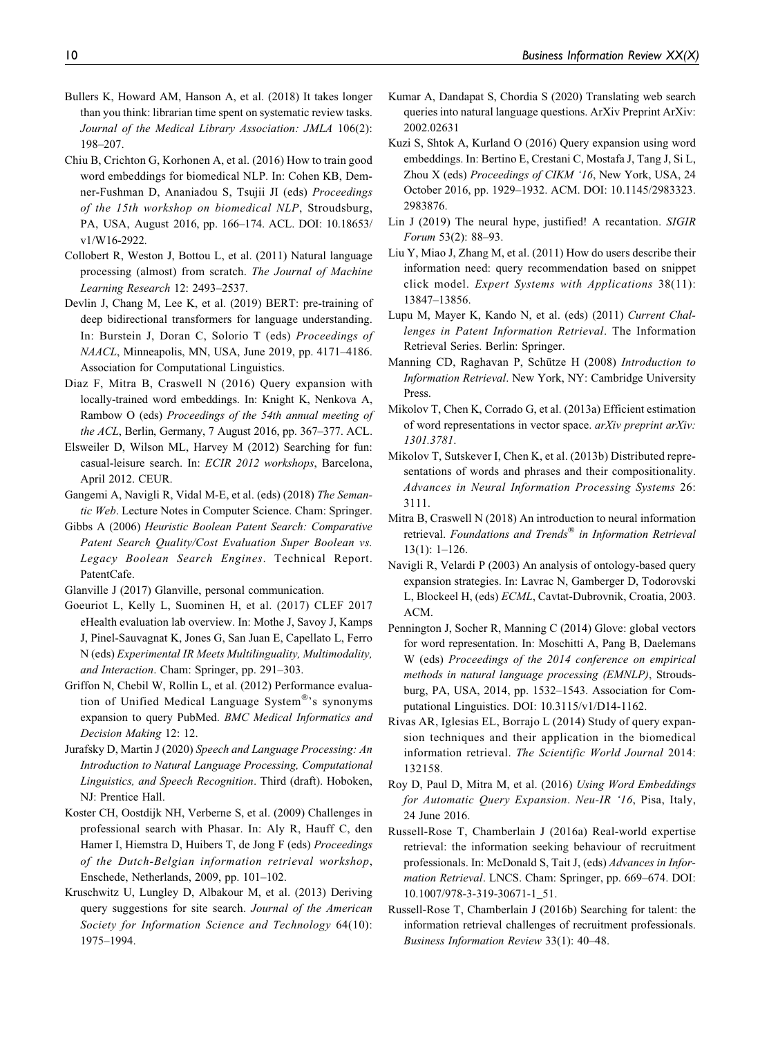- Bullers K, Howard AM, Hanson A, et al. (2018) It takes longer than you think: librarian time spent on systematic review tasks. Journal of the Medical Library Association: JMLA 106(2): 198–207.
- Chiu B, Crichton G, Korhonen A, et al. (2016) How to train good word embeddings for biomedical NLP. In: Cohen KB, Demner-Fushman D, Ananiadou S, Tsujii JI (eds) Proceedings of the 15th workshop on biomedical NLP, Stroudsburg, PA, USA, August 2016, pp. 166–174. ACL. DOI: 10.18653/ v1/W16-2922.
- Collobert R, Weston J, Bottou L, et al. (2011) Natural language processing (almost) from scratch. The Journal of Machine Learning Research 12: 2493–2537.
- Devlin J, Chang M, Lee K, et al. (2019) BERT: pre-training of deep bidirectional transformers for language understanding. In: Burstein J, Doran C, Solorio T (eds) Proceedings of NAACL, Minneapolis, MN, USA, June 2019, pp. 4171–4186. Association for Computational Linguistics.
- Diaz F, Mitra B, Craswell N (2016) Query expansion with locally-trained word embeddings. In: Knight K, Nenkova A, Rambow O (eds) Proceedings of the 54th annual meeting of the ACL, Berlin, Germany, 7 August 2016, pp. 367–377. ACL.
- Elsweiler D, Wilson ML, Harvey M (2012) Searching for fun: casual-leisure search. In: ECIR 2012 workshops, Barcelona, April 2012. CEUR.
- Gangemi A, Navigli R, Vidal M-E, et al. (eds) (2018) The Semantic Web. Lecture Notes in Computer Science. Cham: Springer.
- Gibbs A (2006) Heuristic Boolean Patent Search: Comparative Patent Search Quality/Cost Evaluation Super Boolean vs. Legacy Boolean Search Engines. Technical Report. PatentCafe.

Glanville J (2017) Glanville, personal communication.

- Goeuriot L, Kelly L, Suominen H, et al. (2017) CLEF 2017 eHealth evaluation lab overview. In: Mothe J, Savoy J, Kamps J, Pinel-Sauvagnat K, Jones G, San Juan E, Capellato L, Ferro N (eds) Experimental IR Meets Multilinguality, Multimodality, and Interaction. Cham: Springer, pp. 291–303.
- Griffon N, Chebil W, Rollin L, et al. (2012) Performance evaluation of Unified Medical Language System®'s synonyms expansion to query PubMed. BMC Medical Informatics and Decision Making 12: 12.
- Jurafsky D, Martin J (2020) Speech and Language Processing: An Introduction to Natural Language Processing, Computational Linguistics, and Speech Recognition. Third (draft). Hoboken, NJ: Prentice Hall.
- Koster CH, Oostdijk NH, Verberne S, et al. (2009) Challenges in professional search with Phasar. In: Aly R, Hauff C, den Hamer I, Hiemstra D, Huibers T, de Jong F (eds) Proceedings of the Dutch-Belgian information retrieval workshop, Enschede, Netherlands, 2009, pp. 101–102.
- Kruschwitz U, Lungley D, Albakour M, et al. (2013) Deriving query suggestions for site search. Journal of the American Society for Information Science and Technology 64(10): 1975–1994.
- Kumar A, Dandapat S, Chordia S (2020) Translating web search queries into natural language questions. ArXiv Preprint ArXiv: 2002.02631
- Kuzi S, Shtok A, Kurland O (2016) Query expansion using word embeddings. In: Bertino E, Crestani C, Mostafa J, Tang J, Si L, Zhou X (eds) Proceedings of CIKM '16, New York, USA, 24 October 2016, pp. 1929–1932. ACM. DOI: 10.1145/2983323. 2983876.
- Lin J (2019) The neural hype, justified! A recantation. SIGIR Forum 53(2): 88–93.
- Liu Y, Miao J, Zhang M, et al. (2011) How do users describe their information need: query recommendation based on snippet click model. Expert Systems with Applications 38(11): 13847–13856.
- Lupu M, Mayer K, Kando N, et al. (eds) (2011) Current Challenges in Patent Information Retrieval. The Information Retrieval Series. Berlin: Springer.
- Manning CD, Raghavan P, Schütze H (2008) Introduction to Information Retrieval. New York, NY: Cambridge University Press.
- Mikolov T, Chen K, Corrado G, et al. (2013a) Efficient estimation of word representations in vector space. arXiv preprint arXiv: 1301.3781.
- Mikolov T, Sutskever I, Chen K, et al. (2013b) Distributed representations of words and phrases and their compositionality. Advances in Neural Information Processing Systems 26: 3111.
- Mitra B, Craswell N (2018) An introduction to neural information retrieval. Foundations and Trends® in Information Retrieval 13(1): 1–126.
- Navigli R, Velardi P (2003) An analysis of ontology-based query expansion strategies. In: Lavrac N, Gamberger D, Todorovski L, Blockeel H, (eds) ECML, Cavtat-Dubrovnik, Croatia, 2003. ACM.
- Pennington J, Socher R, Manning C (2014) Glove: global vectors for word representation. In: Moschitti A, Pang B, Daelemans W (eds) Proceedings of the 2014 conference on empirical methods in natural language processing (EMNLP), Stroudsburg, PA, USA, 2014, pp. 1532–1543. Association for Computational Linguistics. DOI: 10.3115/v1/D14-1162.
- Rivas AR, Iglesias EL, Borrajo L (2014) Study of query expansion techniques and their application in the biomedical information retrieval. The Scientific World Journal 2014: 132158.
- Roy D, Paul D, Mitra M, et al. (2016) Using Word Embeddings for Automatic Query Expansion. Neu-IR '16, Pisa, Italy, 24 June 2016.
- Russell-Rose T, Chamberlain J (2016a) Real-world expertise retrieval: the information seeking behaviour of recruitment professionals. In: McDonald S, Tait J, (eds) Advances in Information Retrieval. LNCS. Cham: Springer, pp. 669–674. DOI: 10.1007/978-3-319-30671-1\_51.
- Russell-Rose T, Chamberlain J (2016b) Searching for talent: the information retrieval challenges of recruitment professionals. Business Information Review 33(1): 40–48.